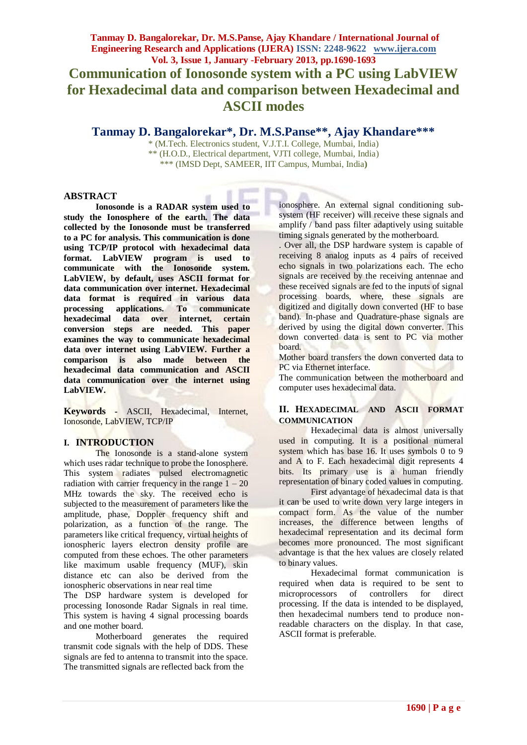# **Tanmay D. Bangalorekar\*, Dr. M.S.Panse\*\*, Ajay Khandare\*\*\***

\* (M.Tech. Electronics student, V.J.T.I. College, Mumbai, India) \*\* (H.O.D., Electrical department, VJTI college, Mumbai, India) \*\*\* (IMSD Dept, SAMEER, IIT Campus, Mumbai, India**)**

## **ABSTRACT**

**Ionosonde is a RADAR system used to study the Ionosphere of the earth. The data collected by the Ionosonde must be transferred to a PC for analysis. This communication is done using TCP/IP protocol with hexadecimal data format. LabVIEW program is used to communicate with the Ionosonde system. LabVIEW, by default, uses ASCII format for data communication over internet. Hexadecimal data format is required in various data processing applications. To communicate hexadecimal data over internet, certain conversion steps are needed. This paper examines the way to communicate hexadecimal data over internet using LabVIEW. Further a comparison is also made between the hexadecimal data communication and ASCII data communication over the internet using LabVIEW.**

**Keywords -** ASCII, Hexadecimal, Internet, Ionosonde, LabVIEW, TCP/IP

## **I. INTRODUCTION**

The Ionosonde is a stand-alone system which uses radar technique to probe the Ionosphere. This system radiates pulsed electromagnetic radiation with carrier frequency in the range  $1 - 20$ MHz towards the sky. The received echo is subjected to the measurement of parameters like the amplitude, phase, Doppler frequency shift and polarization, as a function of the range. The parameters like critical frequency, virtual heights of ionospheric layers electron density profile are computed from these echoes. The other parameters like maximum usable frequency (MUF), skin distance etc can also be derived from the ionospheric observations in near real time

The DSP hardware system is developed for processing Ionosonde Radar Signals in real time. This system is having 4 signal processing boards and one mother board.

Motherboard generates the required transmit code signals with the help of DDS. These signals are fed to antenna to transmit into the space. The transmitted signals are reflected back from the

ionosphere. An external signal conditioning subsystem (HF receiver) will receive these signals and amplify / band pass filter adaptively using suitable timing signals generated by the motherboard.

. Over all, the DSP hardware system is capable of receiving 8 analog inputs as 4 pairs of received echo signals in two polarizations each. The echo signals are received by the receiving antennae and these received signals are fed to the inputs of signal processing boards, where, these signals are digitized and digitally down converted (HF to base band). In-phase and Quadrature-phase signals are derived by using the digital down converter. This down converted data is sent to PC via mother board.

Mother board transfers the down converted data to PC via Ethernet interface.

The communication between the motherboard and computer uses hexadecimal data.

#### **II. HEXADECIMAL AND ASCII FORMAT COMMUNICATION**

Hexadecimal data is almost universally used in computing. It is a positional numeral system which has base 16. It uses symbols 0 to 9 and A to F. Each hexadecimal digit represents 4 bits. Its primary use is a human friendly representation of binary coded values in computing.

First advantage of hexadecimal data is that it can be used to write down very large integers in compact form. As the value of the number increases, the difference between lengths of hexadecimal representation and its decimal form becomes more pronounced. The most significant advantage is that the hex values are closely related to binary values.

Hexadecimal format communication is required when data is required to be sent to microprocessors of controllers for direct processing. If the data is intended to be displayed, then hexadecimal numbers tend to produce nonreadable characters on the display. In that case, ASCII format is preferable.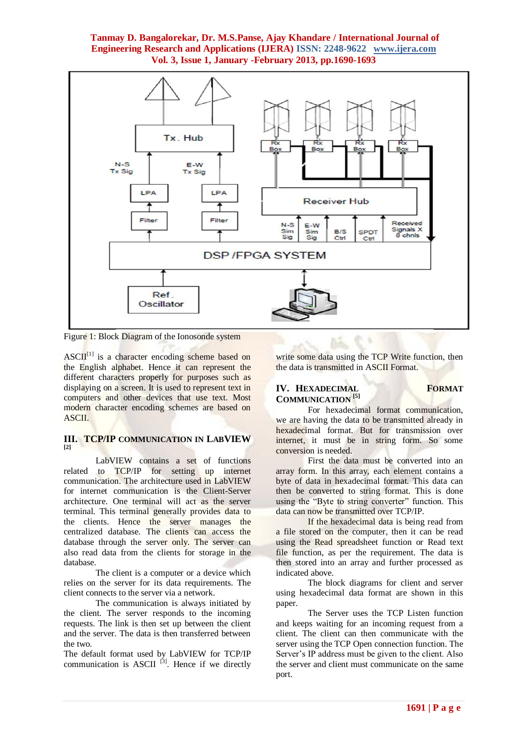# **Tanmay D. Bangalorekar, Dr. M.S.Panse, Ajay Khandare / International Journal of Engineering Research and Applications (IJERA) ISSN: 2248-9622 www.ijera.com Vol. 3, Issue 1, January -February 2013, pp.1690-1693**



Figure 1: Block Diagram of the Ionosonde system

 $\text{ASCII}^{[1]}$  is a character encoding scheme based on the English alphabet. Hence it can represent the different characters properly for purposes such as displaying on a screen. It is used to represent text in computers and other devices that use text. Most modern character encoding schemes are based on ASCII.

#### **III. TCP/IP COMMUNICATION IN LABVIEW [2]**

LabVIEW contains a set of functions related to TCP/IP for setting up internet communication. The architecture used in LabVIEW for internet communication is the Client-Server architecture. One terminal will act as the server terminal. This terminal generally provides data to the clients. Hence the server manages the centralized database. The clients can access the database through the server only. The server can also read data from the clients for storage in the database.

The client is a computer or a device which relies on the server for its data requirements. The client connects to the server via a network.

The communication is always initiated by the client. The server responds to the incoming requests. The link is then set up between the client and the server. The data is then transferred between the two.

The default format used by LabVIEW for TCP/IP communication is ASCII<sup>[3]</sup>. Hence if we directly write some data using the TCP Write function, then the data is transmitted in ASCII Format.

## **IV. HEXADECIMAL FORMAT COMMUNICATION [5]**

For hexadecimal format communication, we are having the data to be transmitted already in hexadecimal format. But for transmission over internet, it must be in string form. So some conversion is needed.

First the data must be converted into an array form. In this array, each element contains a byte of data in hexadecimal format. This data can then be converted to string format. This is done using the "Byte to string converter" function. This data can now be transmitted over TCP/IP.

If the hexadecimal data is being read from a file stored on the computer, then it can be read using the Read spreadsheet function or Read text file function, as per the requirement. The data is then stored into an array and further processed as indicated above.

The block diagrams for client and server using hexadecimal data format are shown in this paper.

The Server uses the TCP Listen function and keeps waiting for an incoming request from a client. The client can then communicate with the server using the TCP Open connection function. The Server's IP address must be given to the client. Also the server and client must communicate on the same port.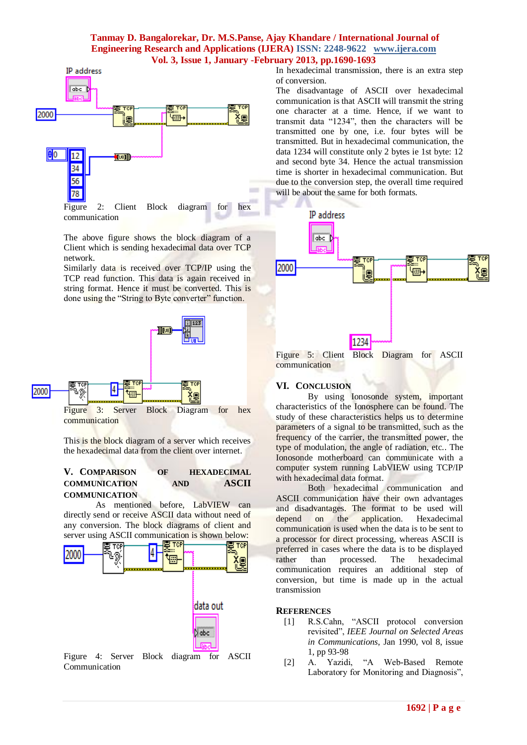## **Tanmay D. Bangalorekar, Dr. M.S.Panse, Ajay Khandare / International Journal of Engineering Research and Applications (IJERA) ISSN: 2248-9622 www.ijera.com Vol. 3, Issue 1, January -February 2013, pp.1690-1693**



The above figure shows the block diagram of a Client which is sending hexadecimal data over TCP network.

Similarly data is received over TCP/IP using the TCP read function. This data is again received in string format. Hence it must be converted. This is done using the "String to Byte converter" function.



This is the block diagram of a server which receives the hexadecimal data from the client over internet.

## **V. COMPARISON OF HEXADECIMAL COMMUNICATION AND ASCII COMMUNICATION**

As mentioned before, LabVIEW can directly send or receive ASCII data without need of any conversion. The block diagrams of client and server using ASCII communication is shown below:



Figure 4: Server Block diagram for ASCII Communication

In hexadecimal transmission, there is an extra step of conversion.

The disadvantage of ASCII over hexadecimal communication is that ASCII will transmit the string one character at a time. Hence, if we want to transmit data "1234", then the characters will be transmitted one by one, i.e. four bytes will be transmitted. But in hexadecimal communication, the data 1234 will constitute only 2 bytes ie 1st byte: 12 and second byte 34. Hence the actual transmission time is shorter in hexadecimal communication. But due to the conversion step, the overall time required will be about the same for both formats.



communication

#### **VI. CONCLUSION**

By using Ionosonde system, important characteristics of the Ionosphere can be found. The study of these characteristics helps us to determine parameters of a signal to be transmitted, such as the frequency of the carrier, the transmitted power, the type of modulation, the angle of radiation, etc.. The Ionosonde motherboard can communicate with a computer system running LabVIEW using TCP/IP with hexadecimal data format.

Both hexadecimal communication and ASCII communication have their own advantages and disadvantages. The format to be used will depend on the application. Hexadecimal communication is used when the data is to be sent to a processor for direct processing, whereas ASCII is preferred in cases where the data is to be displayed rather than processed. The hexadecimal communication requires an additional step of conversion, but time is made up in the actual transmission

#### **REFERENCES**

- [1] R.S.Cahn, "ASCII protocol conversion revisited", *IEEE Journal on Selected Areas in Communications*, Jan 1990, vol 8, issue 1, pp 93-98
- [2] A. Yazidi, "A Web-Based Remote Laboratory for Monitoring and Diagnosis",